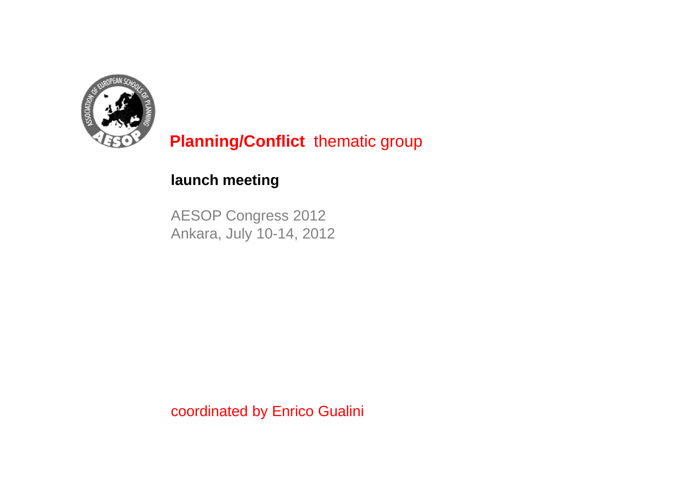

## **launch meeting**

AESOP Congress 2012 Ankara, July 10-14, 2012

coordinated by Enrico Gualini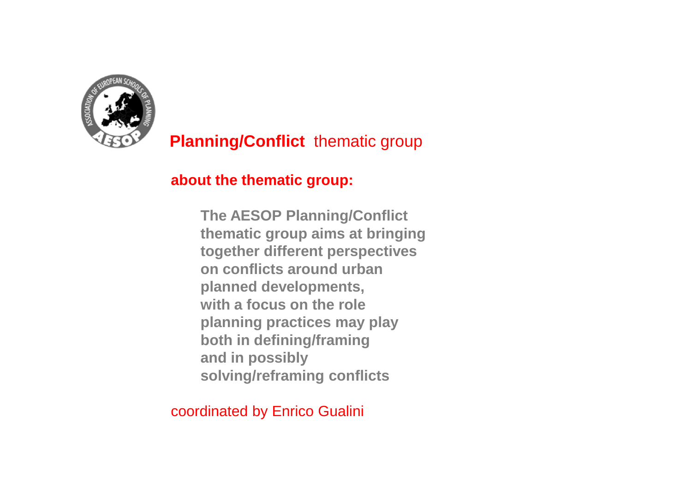

## **about the thematic group:**

**The AESOP Planning/Conflict thematic group aims at bringing together different perspectives on conflicts around urban planned developments, with a focus on the role planning practices may play both in defining/framing and in possibly solving/reframing conflicts**

coordinated by Enrico Gualini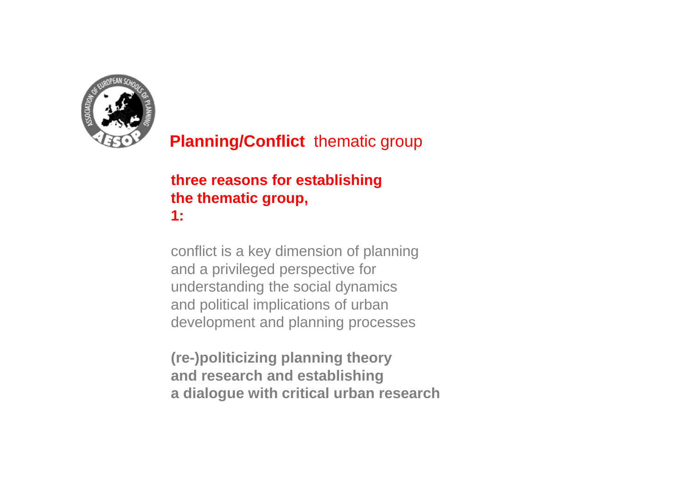

## **three reasons for establishing the thematic group, 1:**

conflict is a key dimension of planning and a privileged perspective for understanding the social dynamics and political implications of urban development and planning processes

**(re-)politicizing planning theory and research and establishing a dialogue with critical urban research**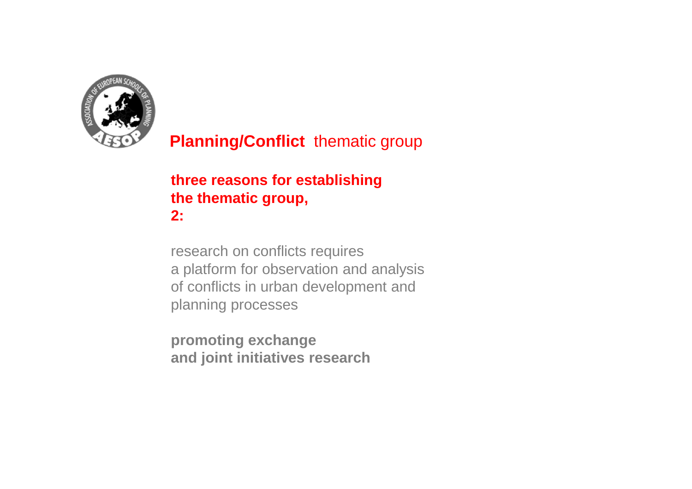

## **three reasons for establishing the thematic group, 2:**

research on conflicts requires a platform for observation and analysis of conflicts in urban development and planning processes

**promoting exchange and joint initiatives research**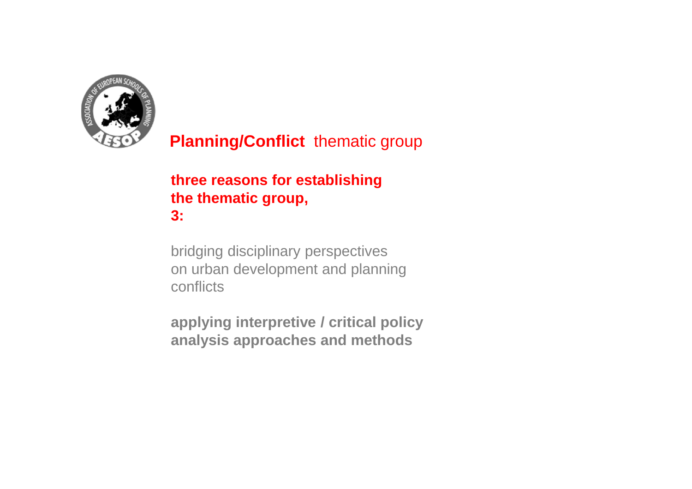

## **three reasons for establishing the thematic group, 3:**

bridging disciplinary perspectives on urban development and planning conflicts

**applying interpretive / critical policy analysis approaches and methods**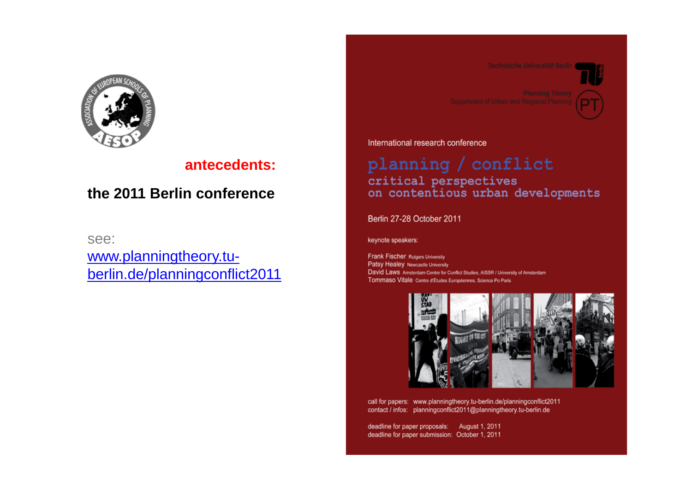

### **antecedents:**

## **the 2011 Berlin conference**

see:

www.planningtheory.tuberlin.de/planningconflict2011



International research conference

### planning / conflict critical perspectives on contentious urban developments

Berlin 27-28 October 2011

keynote speakers:

**Frank Fischer Rutgers University** Patsy Healey Newcastle University David Laws Amsterdam Centre for Conflict Studies, AISSR / University of Amsterdam Tommaso Vitale Centre d'Études Européennes, Science Po Paris



call for papers: www.planningtheory.tu-berlin.de/planningconflict2011 contact / infos: planningconflict2011@planningtheory.tu-berlin.de

deadline for paper proposals: August 1, 2011 deadline for paper submission: October 1, 2011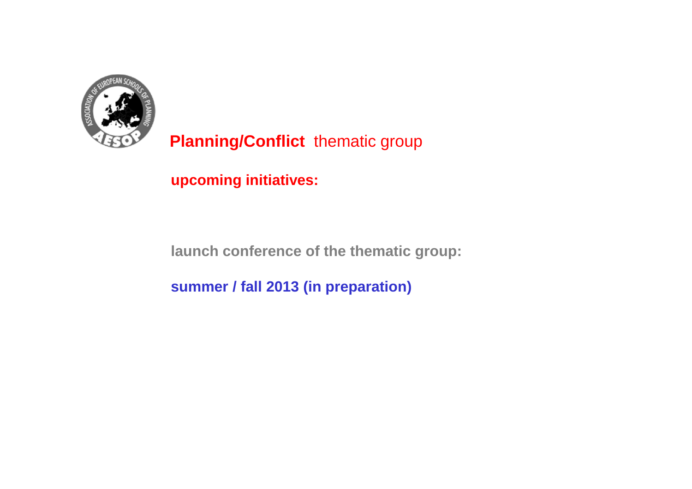

**upcoming initiatives:**

**launch conference of the thematic group:**

**summer / fall 2013 (in preparation)**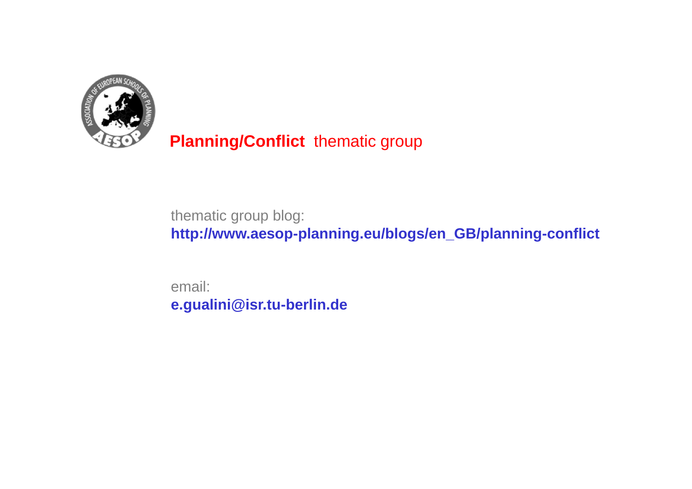

thematic group blog:

**http://www.aesop-planning.eu/blogs/en\_GB/planning-conflict**

email:**e.gualini@isr.tu-berlin.de**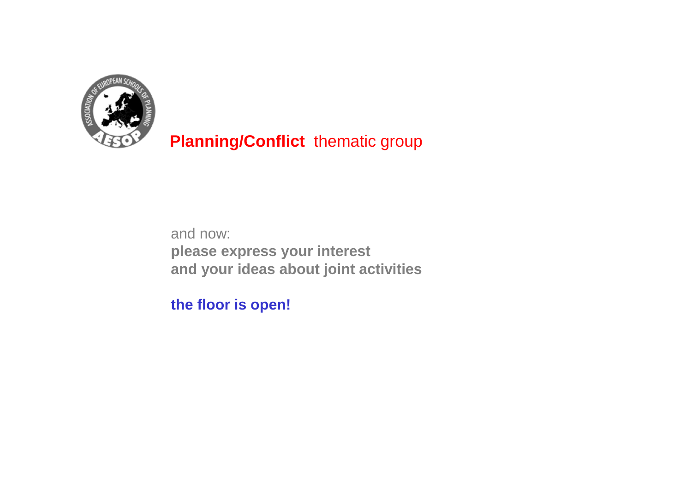

and now: **please express your interestand your ideas about joint activities**

**the floor is open!**